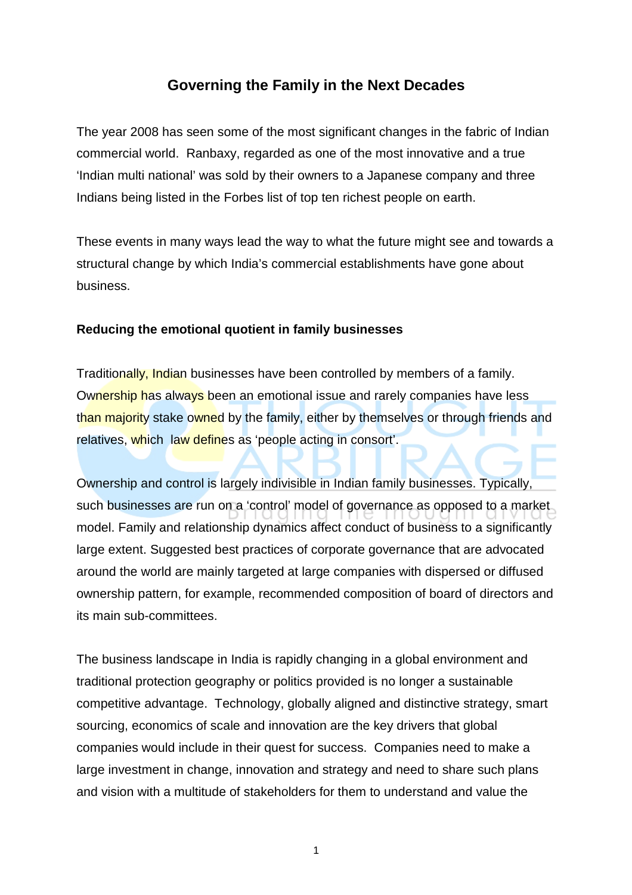## **Governing the Family in the Next Decades**

The year 2008 has seen some of the most significant changes in the fabric of Indian commercial world. Ranbaxy, regarded as one of the most innovative and a true 'Indian multi national' was sold by their owners to a Japanese company and three Indians being listed in the Forbes list of top ten richest people on earth.

These events in many ways lead the way to what the future might see and towards a structural change by which India's commercial establishments have gone about business.

## **Reducing the emotional quotient in family businesses**

Traditionally, Indian businesses have been controlled by members of a family. Ownership has always been an emotional issue and rarely companies have less than majority stake owned by the family, either by themselves or through friends and relatives, which law defines as 'people acting in consort'.

Ownership and control is largely indivisible in Indian family businesses. Typically, such businesses are run on a 'control' model of governance as opposed to a market model. Family and relationship dynamics affect conduct of business to a significantly large extent. Suggested best practices of corporate governance that are advocated around the world are mainly targeted at large companies with dispersed or diffused ownership pattern, for example, recommended composition of board of directors and its main sub-committees.

The business landscape in India is rapidly changing in a global environment and traditional protection geography or politics provided is no longer a sustainable competitive advantage. Technology, globally aligned and distinctive strategy, smart sourcing, economics of scale and innovation are the key drivers that global companies would include in their quest for success. Companies need to make a large investment in change, innovation and strategy and need to share such plans and vision with a multitude of stakeholders for them to understand and value the

1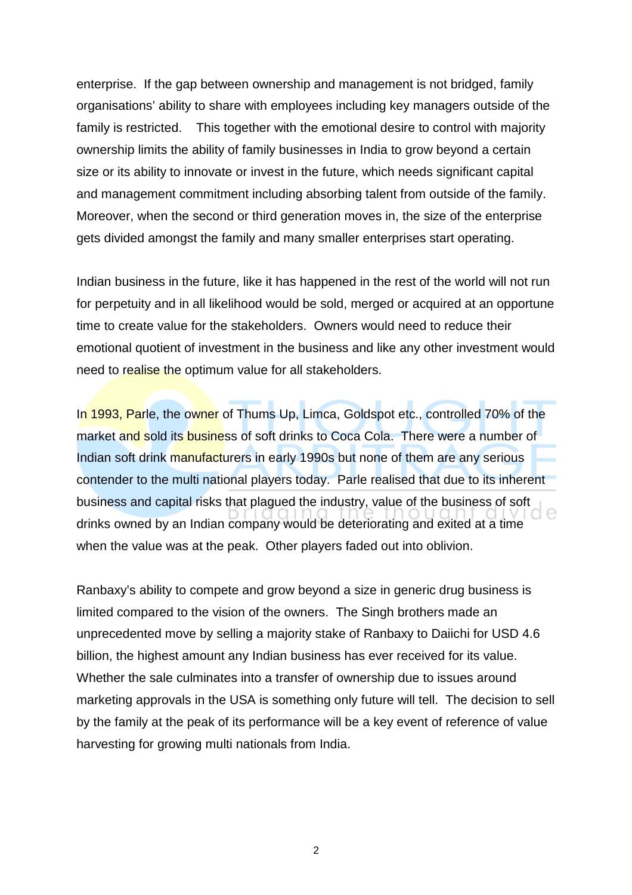enterprise. If the gap between ownership and management is not bridged, family organisations' ability to share with employees including key managers outside of the family is restricted. This together with the emotional desire to control with majority ownership limits the ability of family businesses in India to grow beyond a certain size or its ability to innovate or invest in the future, which needs significant capital and management commitment including absorbing talent from outside of the family. Moreover, when the second or third generation moves in, the size of the enterprise gets divided amongst the family and many smaller enterprises start operating.

Indian business in the future, like it has happened in the rest of the world will not run for perpetuity and in all likelihood would be sold, merged or acquired at an opportune time to create value for the stakeholders. Owners would need to reduce their emotional quotient of investment in the business and like any other investment would need to realise the optimum value for all stakeholders.

In 1993, Parle, the owner of Thums Up, Limca, Goldspot etc., controlled 70% of the market and sold its business of soft drinks to Coca Cola. There were a number of Indian soft drink manufacturers in early 1990s but none of them are any serious contender to the multi national players today. Parle realised that due to its inherent business and capital risks that plagued the industry, value of the business of soft drinks owned by an Indian company would be deteriorating and exited at a time when the value was at the peak. Other players faded out into oblivion.

Ranbaxy's ability to compete and grow beyond a size in generic drug business is limited compared to the vision of the owners. The Singh brothers made an unprecedented move by selling a majority stake of Ranbaxy to Daiichi for USD 4.6 billion, the highest amount any Indian business has ever received for its value. Whether the sale culminates into a transfer of ownership due to issues around marketing approvals in the USA is something only future will tell. The decision to sell by the family at the peak of its performance will be a key event of reference of value harvesting for growing multi nationals from India.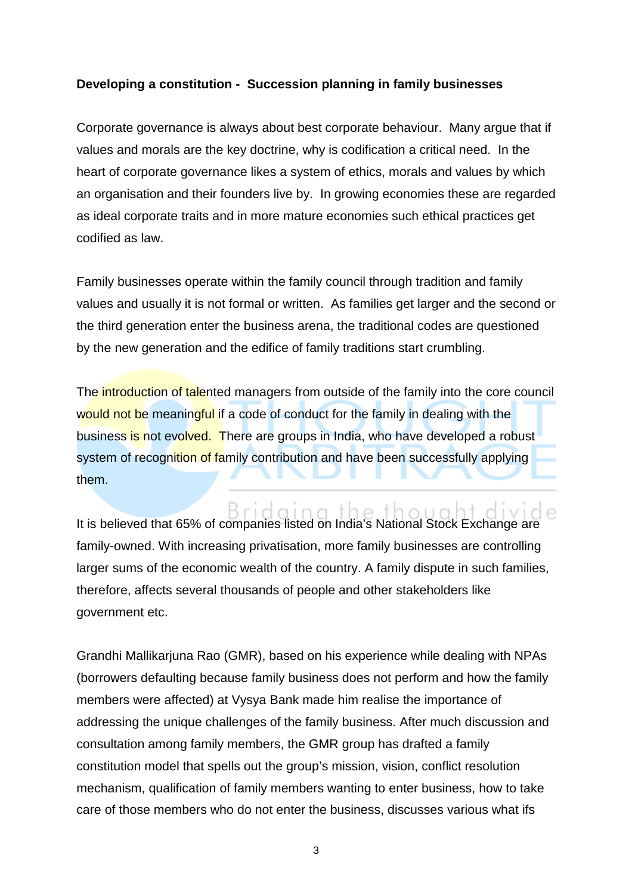## **Developing a constitution - Succession planning in family businesses**

Corporate governance is always about best corporate behaviour. Many argue that if values and morals are the key doctrine, why is codification a critical need. In the heart of corporate governance likes a system of ethics, morals and values by which an organisation and their founders live by. In growing economies these are regarded as ideal corporate traits and in more mature economies such ethical practices get codified as law.

Family businesses operate within the family council through tradition and family values and usually it is not formal or written. As families get larger and the second or the third generation enter the business arena, the traditional codes are questioned by the new generation and the edifice of family traditions start crumbling.

The introduction of talented managers from outside of the family into the core council would not be meaningful if a code of conduct for the family in dealing with the business is not evolved. There are groups in India, who have developed a robust system of recognition of family contribution and have been successfully applying them.

It is believed that 65% of companies listed on India's National Stock Exchange are family-owned. With increasing privatisation, more family businesses are controlling larger sums of the economic wealth of the country. A family dispute in such families, therefore, affects several thousands of people and other stakeholders like government etc.

Grandhi Mallikarjuna Rao (GMR), based on his experience while dealing with NPAs (borrowers defaulting because family business does not perform and how the family members were affected) at Vysya Bank made him realise the importance of addressing the unique challenges of the family business. After much discussion and consultation among family members, the GMR group has drafted a family constitution model that spells out the group's mission, vision, conflict resolution mechanism, qualification of family members wanting to enter business, how to take care of those members who do not enter the business, discusses various what ifs

3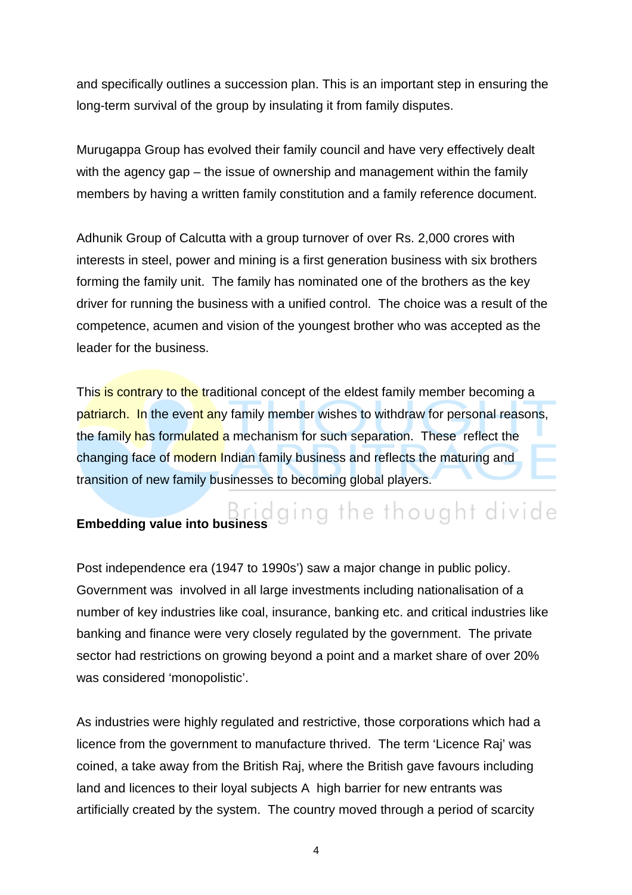and specifically outlines a succession plan. This is an important step in ensuring the long-term survival of the group by insulating it from family disputes.

Murugappa Group has evolved their family council and have very effectively dealt with the agency gap – the issue of ownership and management within the family members by having a written family constitution and a family reference document.

Adhunik Group of Calcutta with a group turnover of over Rs. 2,000 crores with interests in steel, power and mining is a first generation business with six brothers forming the family unit. The family has nominated one of the brothers as the key driver for running the business with a unified control. The choice was a result of the competence, acumen and vision of the youngest brother who was accepted as the leader for the business.

This is contrary to the traditional concept of the eldest family member becoming a patriarch. In the event any family member wishes to withdraw for personal reasons, the family has formulated a mechanism for such separation. These reflect the changing face of modern Indian family business and reflects the maturing and transition of new family businesses to becoming global players.

## Embedding value into business<sup>1</sup> Bridging the thought divide

Post independence era (1947 to 1990s') saw a major change in public policy. Government was involved in all large investments including nationalisation of a number of key industries like coal, insurance, banking etc. and critical industries like banking and finance were very closely regulated by the government. The private sector had restrictions on growing beyond a point and a market share of over 20% was considered 'monopolistic'.

As industries were highly regulated and restrictive, those corporations which had a licence from the government to manufacture thrived. The term 'Licence Raj' was coined, a take away from the British Raj, where the British gave favours including land and licences to their loyal subjects A high barrier for new entrants was artificially created by the system. The country moved through a period of scarcity

4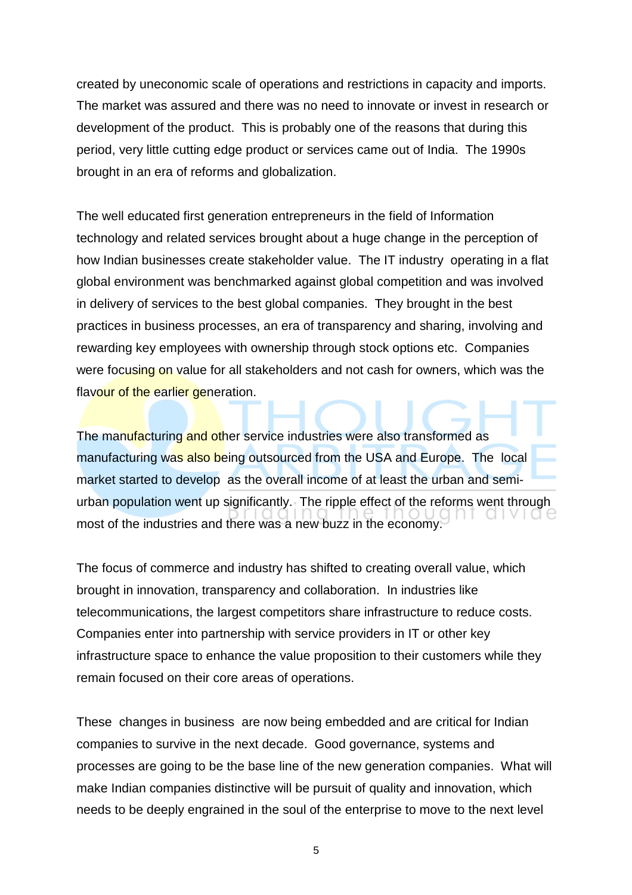created by uneconomic scale of operations and restrictions in capacity and imports. The market was assured and there was no need to innovate or invest in research or development of the product. This is probably one of the reasons that during this period, very little cutting edge product or services came out of India. The 1990s brought in an era of reforms and globalization.

The well educated first generation entrepreneurs in the field of Information technology and related services brought about a huge change in the perception of how Indian businesses create stakeholder value. The IT industry operating in a flat global environment was benchmarked against global competition and was involved in delivery of services to the best global companies. They brought in the best practices in business processes, an era of transparency and sharing, involving and rewarding key employees with ownership through stock options etc. Companies were focusing on value for all stakeholders and not cash for owners, which was the flavour of the earlier generation.

The manufacturing and other service industries were also transformed as manufacturing was also being outsourced from the USA and Europe. The local market started to develop as the overall income of at least the urban and semiurban population went up significantly. The ripple effect of the reforms went through most of the industries and there was a new buzz in the economy.

The focus of commerce and industry has shifted to creating overall value, which brought in innovation, transparency and collaboration. In industries like telecommunications, the largest competitors share infrastructure to reduce costs. Companies enter into partnership with service providers in IT or other key infrastructure space to enhance the value proposition to their customers while they remain focused on their core areas of operations.

These changes in business are now being embedded and are critical for Indian companies to survive in the next decade. Good governance, systems and processes are going to be the base line of the new generation companies. What will make Indian companies distinctive will be pursuit of quality and innovation, which needs to be deeply engrained in the soul of the enterprise to move to the next level